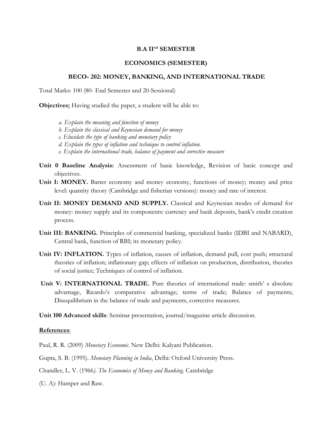## **B.A IInd SEMESTER**

## **ECONOMICS (SEMESTER)**

## **BECO- 202: MONEY, BANKING, AND INTERNATIONAL TRADE**

Total Marks: 100 (80- End Semester and 20-Sessional)

**Objectives:** Having studied the paper, a student will be able to:

*a. Explain the meaning and function of money b. Explain the classical and Keynesian demand for money c. Elucidate the type of banking and monetary policy d. Explain the types of inflation and technique to control inflation. e. Explain the international trade, balance of payment and corrective measure*

- **Unit 0 Baseline Analysis:** Assessment of basic knowledge, Revision of basic concept and objectives.
- Unit I: MONEY. Barter economy and money economy, functions of money; money and price level: quantity theory (Cambridge and fisherian versions): money and rate of interest.
- **Unit II: MONEY DEMAND AND SUPPLY.** Classical and Keynesian modes of demand for money: money supply and its components: currency and bank deposits, bank's credit creation process.
- **Unit III: BANKING.** Principles of commercial banking, specialized banks (IDBI and NABARD), Central bank, function of RBI; its monetary policy.
- **Unit IV: INFLATION.** Types of inflation, causes of inflation, demand pull, cost push; structural theories of inflation; inflationary gap; effects of inflation on production, distribution, theories of social justice; Techniques of control of inflation.
- **Unit V: INTERNATIONAL TRADE.** Pure theories of international trade: smith' s absolute advantage, Ricardo's comparative advantage; terms of trade; Balance of payments; Disequilibrium in the balance of trade and payments, corrective measures.
- **Unit 100 Advanced skills**: Seminar presentation, journal/magazine article discussion.

## **References**:

Paul, R. R. (2009) *Monetary Economic*. New Delhi: Kalyani Publication.

Gupta, S. B. (1995). *Monetary Planning in India*, Delhi: Oxford University Press.

Chandler, L. V. (1966*). The Economics of Money and Banking.* Cambridge

(U. A): Hamper and Raw.